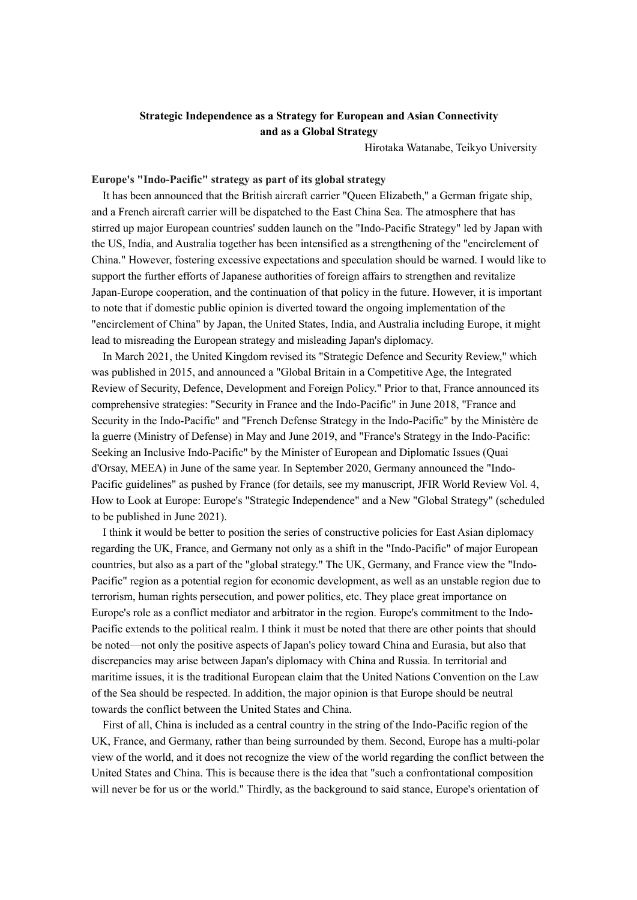# **Strategic Independence as a Strategy for European and Asian Connectivity and as a Global Strategy**

Hirotaka Watanabe, Teikyo University

### **Europe's "Indo-Pacific" strategy as part of its global strategy**

It has been announced that the British aircraft carrier "Queen Elizabeth," a German frigate ship, and a French aircraft carrier will be dispatched to the East China Sea. The atmosphere that has stirred up major European countries' sudden launch on the "Indo-Pacific Strategy" led by Japan with the US, India, and Australia together has been intensified as a strengthening of the "encirclement of China." However, fostering excessive expectations and speculation should be warned. I would like to support the further efforts of Japanese authorities of foreign affairs to strengthen and revitalize Japan-Europe cooperation, and the continuation of that policy in the future. However, it is important to note that if domestic public opinion is diverted toward the ongoing implementation of the "encirclement of China" by Japan, the United States, India, and Australia including Europe, it might lead to misreading the European strategy and misleading Japan's diplomacy.

In March 2021, the United Kingdom revised its "Strategic Defence and Security Review," which was published in 2015, and announced a "Global Britain in a Competitive Age, the Integrated Review of Security, Defence, Development and Foreign Policy." Prior to that, France announced its comprehensive strategies: "Security in France and the Indo-Pacific" in June 2018, "France and Security in the Indo-Pacific" and "French Defense Strategy in the Indo-Pacific" by the Ministère de la guerre (Ministry of Defense) in May and June 2019, and "France's Strategy in the Indo-Pacific: Seeking an Inclusive Indo-Pacific" by the Minister of European and Diplomatic Issues (Quai d'Orsay, MEEA) in June of the same year. In September 2020, Germany announced the "Indo-Pacific guidelines" as pushed by France (for details, see my manuscript, JFIR World Review Vol. 4, How to Look at Europe: Europe's "Strategic Independence" and a New "Global Strategy" (scheduled to be published in June 2021).

I think it would be better to position the series of constructive policies for East Asian diplomacy regarding the UK, France, and Germany not only as a shift in the "Indo-Pacific" of major European countries, but also as a part of the "global strategy." The UK, Germany, and France view the "Indo-Pacific" region as a potential region for economic development, as well as an unstable region due to terrorism, human rights persecution, and power politics, etc. They place great importance on Europe's role as a conflict mediator and arbitrator in the region. Europe's commitment to the Indo-Pacific extends to the political realm. I think it must be noted that there are other points that should be noted—not only the positive aspects of Japan's policy toward China and Eurasia, but also that discrepancies may arise between Japan's diplomacy with China and Russia. In territorial and maritime issues, it is the traditional European claim that the United Nations Convention on the Law of the Sea should be respected. In addition, the major opinion is that Europe should be neutral towards the conflict between the United States and China.

First of all, China is included as a central country in the string of the Indo-Pacific region of the UK, France, and Germany, rather than being surrounded by them. Second, Europe has a multi-polar view of the world, and it does not recognize the view of the world regarding the conflict between the United States and China. This is because there is the idea that "such a confrontational composition will never be for us or the world." Thirdly, as the background to said stance, Europe's orientation of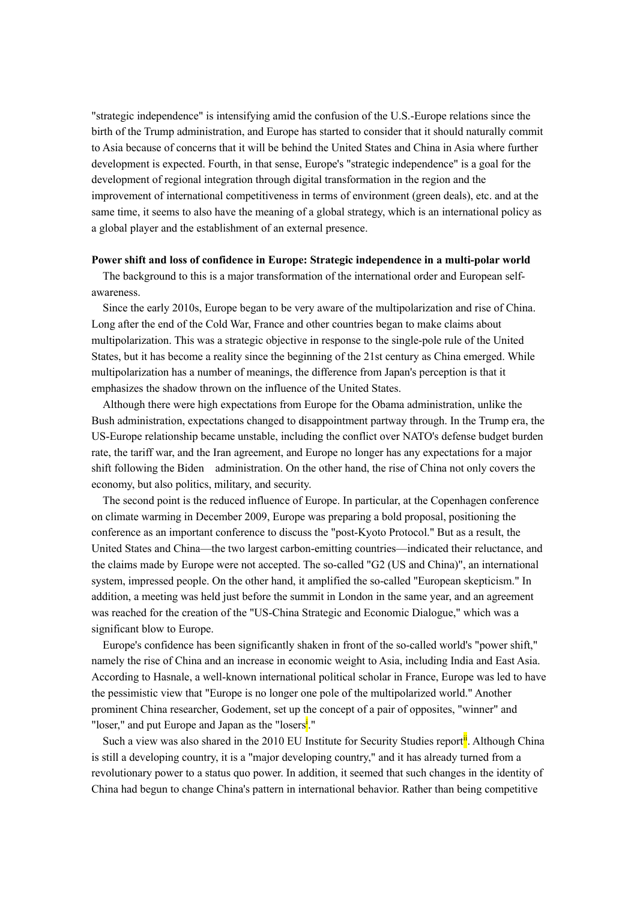"strategic independence" is intensifying amid the confusion of the U.S.-Europe relations since the birth of the Trump administration, and Europe has started to consider that it should naturally commit to Asia because of concerns that it will be behind the United States and China in Asia where further development is expected. Fourth, in that sense, Europe's "strategic independence" is a goal for the development of regional integration through digital transformation in the region and the improvement of international competitiveness in terms of environment (green deals), etc. and at the same time, it seems to also have the meaning of a global strategy, which is an international policy as a global player and the establishment of an external presence.

#### **Power shift and loss of confidence in Europe: Strategic independence in a multi-polar world**

The background to this is a major transformation of the international order and European selfawareness.

Since the early 2010s, Europe began to be very aware of the multipolarization and rise of China. Long after the end of the Cold War, France and other countries began to make claims about multipolarization. This was a strategic objective in response to the single-pole rule of the United States, but it has become a reality since the beginning of the 21st century as China emerged. While multipolarization has a number of meanings, the difference from Japan's perception is that it emphasizes the shadow thrown on the influence of the United States.

Although there were high expectations from Europe for the Obama administration, unlike the Bush administration, expectations changed to disappointment partway through. In the Trump era, the US-Europe relationship became unstable, including the conflict over NATO's defense budget burden rate, the tariff war, and the Iran agreement, and Europe no longer has any expectations for a major shift following the Biden administration. On the other hand, the rise of China not only covers the economy, but also politics, military, and security.

The second point is the reduced influence of Europe. In particular, at the Copenhagen conference on climate warming in December 2009, Europe was preparing a bold proposal, positioning the conference as an important conference to discuss the "post-Kyoto Protocol." But as a result, the United States and China—the two largest carbon-emitting countries—indicated their reluctance, and the claims made by Europe were not accepted. The so-called "G2 (US and China)", an international system, impressed people. On the other hand, it amplified the so-called "European skepticism." In addition, a meeting was held just before the summit in London in the same year, and an agreement was reached for the creation of the "US-China Strategic and Economic Dialogue," which was a significant blow to Europe.

Europe's confidence has been significantly shaken in front of the so-called world's "power shift," namely the rise of China and an increase in economic weight to Asia, including India and East Asia. According to Hasnale, a well-known international political scholar in France, Europe was led to have the pessimistic view that "Europe is no longer one pole of the multipolarized world." Another prominent China researcher, Godement, set up the concept of a pair of opposites, "winner" and "loser," and put Europe and Japan as the "losers<sup>i</sup>."

Such a view was also shared in the 2010 EU Institute for Security Studies report<sup>ii</sup>. Although China is still a developing country, it is a "major developing country," and it has already turned from a revolutionary power to a status quo power. In addition, it seemed that such changes in the identity of China had begun to change China's pattern in international behavior. Rather than being competitive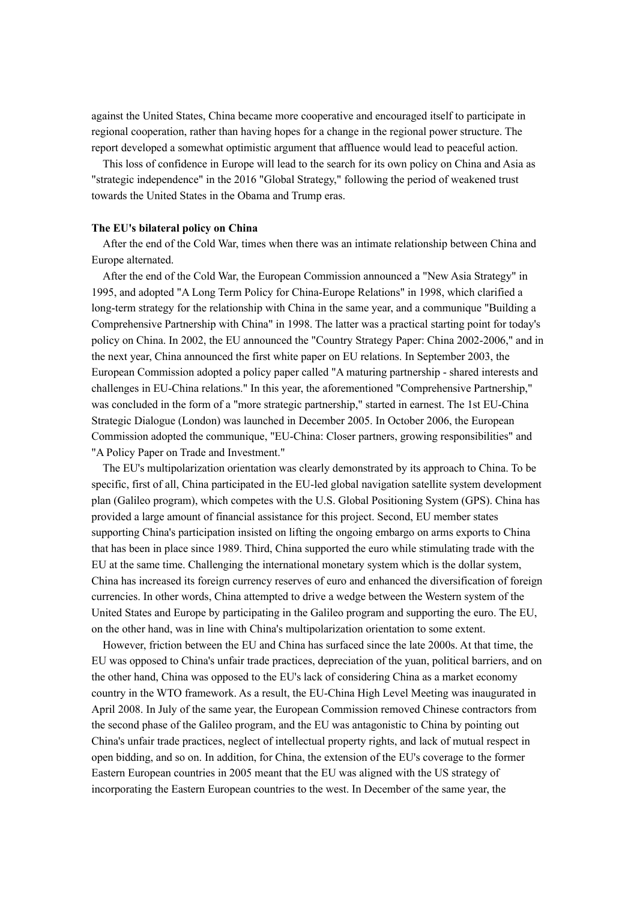against the United States, China became more cooperative and encouraged itself to participate in regional cooperation, rather than having hopes for a change in the regional power structure. The report developed a somewhat optimistic argument that affluence would lead to peaceful action.

This loss of confidence in Europe will lead to the search for its own policy on China and Asia as "strategic independence" in the 2016 "Global Strategy," following the period of weakened trust towards the United States in the Obama and Trump eras.

#### **The EU's bilateral policy on China**

After the end of the Cold War, times when there was an intimate relationship between China and Europe alternated.

After the end of the Cold War, the European Commission announced a "New Asia Strategy" in 1995, and adopted "A Long Term Policy for China-Europe Relations" in 1998, which clarified a long-term strategy for the relationship with China in the same year, and a communique "Building a Comprehensive Partnership with China" in 1998. The latter was a practical starting point for today's policy on China. In 2002, the EU announced the "Country Strategy Paper: China 2002-2006," and in the next year, China announced the first white paper on EU relations. In September 2003, the European Commission adopted a policy paper called "A maturing partnership - shared interests and challenges in EU-China relations." In this year, the aforementioned "Comprehensive Partnership," was concluded in the form of a "more strategic partnership," started in earnest. The 1st EU-China Strategic Dialogue (London) was launched in December 2005. In October 2006, the European Commission adopted the communique, "EU-China: Closer partners, growing responsibilities" and "A Policy Paper on Trade and Investment."

 The EU's multipolarization orientation was clearly demonstrated by its approach to China. To be specific, first of all, China participated in the EU-led global navigation satellite system development plan (Galileo program), which competes with the U.S. Global Positioning System (GPS). China has provided a large amount of financial assistance for this project. Second, EU member states supporting China's participation insisted on lifting the ongoing embargo on arms exports to China that has been in place since 1989. Third, China supported the euro while stimulating trade with the EU at the same time. Challenging the international monetary system which is the dollar system, China has increased its foreign currency reserves of euro and enhanced the diversification of foreign currencies. In other words, China attempted to drive a wedge between the Western system of the United States and Europe by participating in the Galileo program and supporting the euro. The EU, on the other hand, was in line with China's multipolarization orientation to some extent.

However, friction between the EU and China has surfaced since the late 2000s. At that time, the EU was opposed to China's unfair trade practices, depreciation of the yuan, political barriers, and on the other hand, China was opposed to the EU's lack of considering China as a market economy country in the WTO framework. As a result, the EU-China High Level Meeting was inaugurated in April 2008. In July of the same year, the European Commission removed Chinese contractors from the second phase of the Galileo program, and the EU was antagonistic to China by pointing out China's unfair trade practices, neglect of intellectual property rights, and lack of mutual respect in open bidding, and so on. In addition, for China, the extension of the EU's coverage to the former Eastern European countries in 2005 meant that the EU was aligned with the US strategy of incorporating the Eastern European countries to the west. In December of the same year, the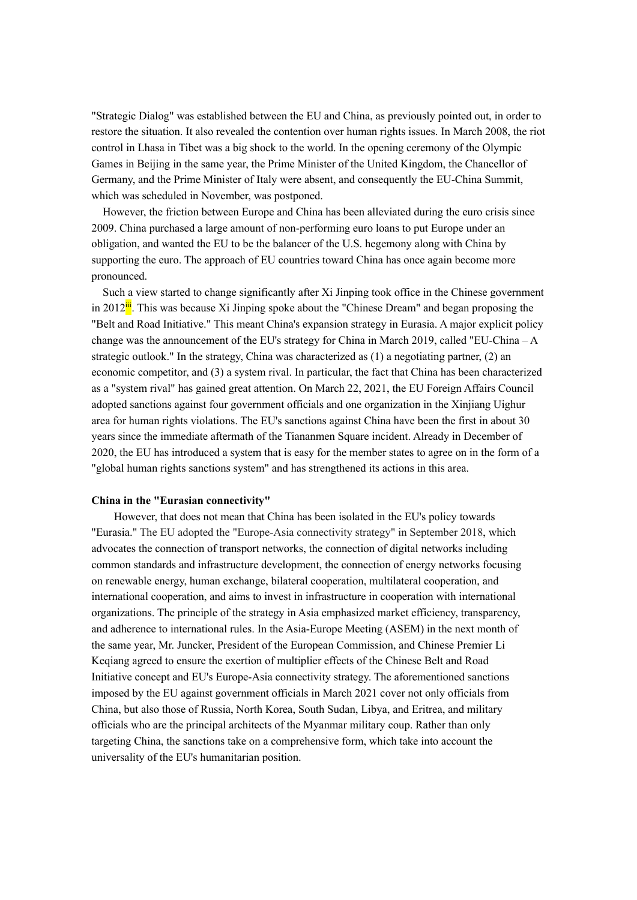"Strategic Dialog" was established between the EU and China, as previously pointed out, in order to restore the situation. It also revealed the contention over human rights issues. In March 2008, the riot control in Lhasa in Tibet was a big shock to the world. In the opening ceremony of the Olympic Games in Beijing in the same year, the Prime Minister of the United Kingdom, the Chancellor of Germany, and the Prime Minister of Italy were absent, and consequently the EU-China Summit, which was scheduled in November, was postponed.

However, the friction between Europe and China has been alleviated during the euro crisis since 2009. China purchased a large amount of non-performing euro loans to put Europe under an obligation, and wanted the EU to be the balancer of the U.S. hegemony along with China by supporting the euro. The approach of EU countries toward China has once again become more pronounced.

Such a view started to change significantly after Xi Jinping took office in the Chinese government in  $2012^{\mathbf{ii}}$ . This was because Xi Jinping spoke about the "Chinese Dream" and began proposing the "Belt and Road Initiative." This meant China's expansion strategy in Eurasia. A major explicit policy change was the announcement of the EU's strategy for China in March 2019, called "EU-China – A strategic outlook." In the strategy, China was characterized as (1) a negotiating partner, (2) an economic competitor, and (3) a system rival. In particular, the fact that China has been characterized as a "system rival" has gained great attention. On March 22, 2021, the EU Foreign Affairs Council adopted sanctions against four government officials and one organization in the Xinjiang Uighur area for human rights violations. The EU's sanctions against China have been the first in about 30 years since the immediate aftermath of the Tiananmen Square incident. Already in December of 2020, the EU has introduced a system that is easy for the member states to agree on in the form of a "global human rights sanctions system" and has strengthened its actions in this area.

#### **China in the "Eurasian connectivity"**

However, that does not mean that China has been isolated in the EU's policy towards "Eurasia." The EU adopted the "Europe-Asia connectivity strategy" in September 2018, which advocates the connection of transport networks, the connection of digital networks including common standards and infrastructure development, the connection of energy networks focusing on renewable energy, human exchange, bilateral cooperation, multilateral cooperation, and international cooperation, and aims to invest in infrastructure in cooperation with international organizations. The principle of the strategy in Asia emphasized market efficiency, transparency, and adherence to international rules. In the Asia-Europe Meeting (ASEM) in the next month of the same year, Mr. Juncker, President of the European Commission, and Chinese Premier Li Keqiang agreed to ensure the exertion of multiplier effects of the Chinese Belt and Road Initiative concept and EU's Europe-Asia connectivity strategy. The aforementioned sanctions imposed by the EU against government officials in March 2021 cover not only officials from China, but also those of Russia, North Korea, South Sudan, Libya, and Eritrea, and military officials who are the principal architects of the Myanmar military coup. Rather than only targeting China, the sanctions take on a comprehensive form, which take into account the universality of the EU's humanitarian position.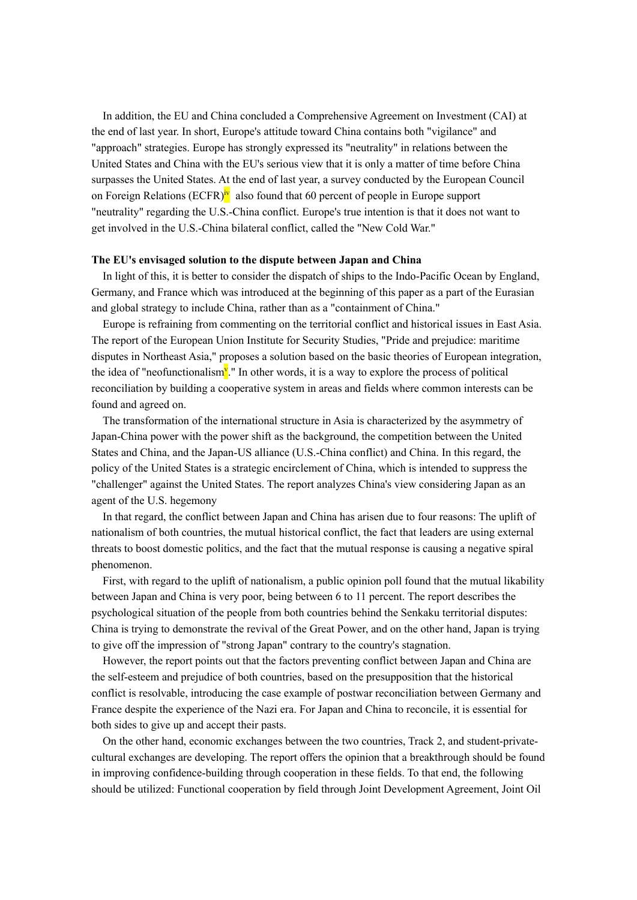In addition, the EU and China concluded a Comprehensive Agreement on Investment (CAI) at the end of last year. In short, Europe's attitude toward China contains both "vigilance" and "approach" strategies. Europe has strongly expressed its "neutrality" in relations between the United States and China with the EU's serious view that it is only a matter of time before China surpasses the United States. At the end of last year, a survey conducted by the European Council on Foreign Relations (ECFR)<sup>iv</sup> also found that 60 percent of people in Europe support "neutrality" regarding the U.S.-China conflict. Europe's true intention is that it does not want to get involved in the U.S.-China bilateral conflict, called the "New Cold War."

## **The EU's envisaged solution to the dispute between Japan and China**

In light of this, it is better to consider the dispatch of ships to the Indo-Pacific Ocean by England, Germany, and France which was introduced at the beginning of this paper as a part of the Eurasian and global strategy to include China, rather than as a "containment of China."

Europe is refraining from commenting on the territorial conflict and historical issues in East Asia. The report of the European Union Institute for Security Studies, "Pride and prejudice: maritime disputes in Northeast Asia," proposes a solution based on the basic theories of European integration, the idea of "neofunctionalism<sup>y</sup>." In other words, it is a way to explore the process of political reconciliation by building a cooperative system in areas and fields where common interests can be found and agreed on.

The transformation of the international structure in Asia is characterized by the asymmetry of Japan-China power with the power shift as the background, the competition between the United States and China, and the Japan-US alliance (U.S.-China conflict) and China. In this regard, the policy of the United States is a strategic encirclement of China, which is intended to suppress the "challenger" against the United States. The report analyzes China's view considering Japan as an agent of the U.S. hegemony

In that regard, the conflict between Japan and China has arisen due to four reasons: The uplift of nationalism of both countries, the mutual historical conflict, the fact that leaders are using external threats to boost domestic politics, and the fact that the mutual response is causing a negative spiral phenomenon.

First, with regard to the uplift of nationalism, a public opinion poll found that the mutual likability between Japan and China is very poor, being between 6 to 11 percent. The report describes the psychological situation of the people from both countries behind the Senkaku territorial disputes: China is trying to demonstrate the revival of the Great Power, and on the other hand, Japan is trying to give off the impression of "strong Japan" contrary to the country's stagnation.

However, the report points out that the factors preventing conflict between Japan and China are the self-esteem and prejudice of both countries, based on the presupposition that the historical conflict is resolvable, introducing the case example of postwar reconciliation between Germany and France despite the experience of the Nazi era. For Japan and China to reconcile, it is essential for both sides to give up and accept their pasts.

On the other hand, economic exchanges between the two countries, Track 2, and student-privatecultural exchanges are developing. The report offers the opinion that a breakthrough should be found in improving confidence-building through cooperation in these fields. To that end, the following should be utilized: Functional cooperation by field through Joint Development Agreement, Joint Oil